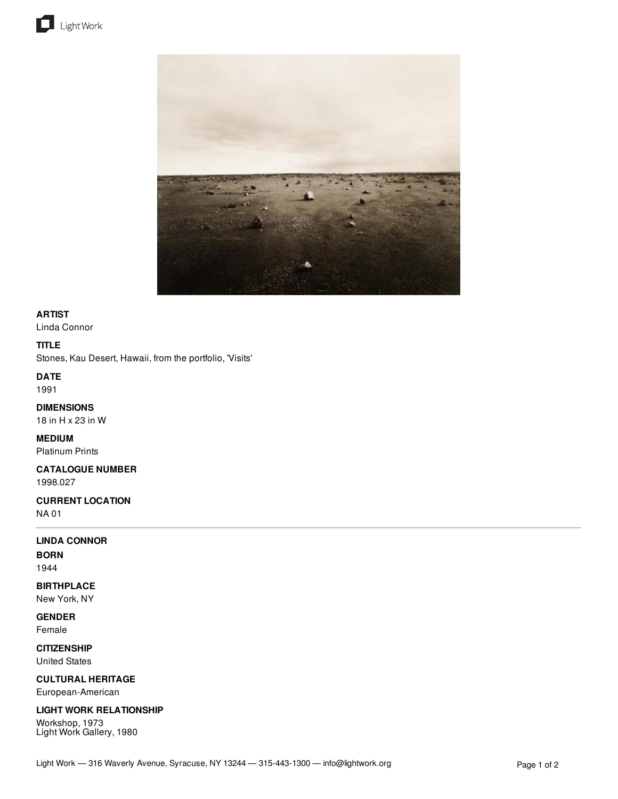



## **ARTIST**

Linda Connor

## **TITLE**

Stones, Kau Desert, Hawaii, from the portfolio, 'Visits'

## **DATE**

1991

## **DIMENSIONS**

18 in H x 23 in W

# **MEDIUM**

Platinum Prints

### **CATALOGUE NUMBER** 1998.027

## **CURRENT LOCATION**

NA 01

## **LINDA CONNOR**

**BORN** 1944

## **BIRTHPLACE**

New York, NY

**GENDER** Female

**CITIZENSHIP** United States

**CULTURAL HERITAGE** European-American

## **LIGHT WORK RELATIONSHIP**

Workshop, 1973 Light Work Gallery, 1980